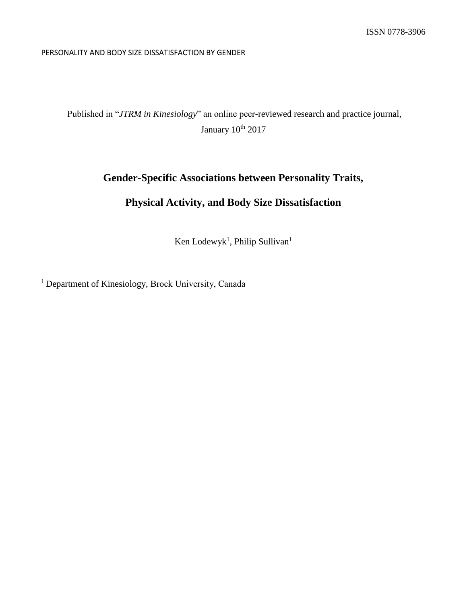#### PERSONALITY AND BODY SIZE DISSATISFACTION BY GENDER

Published in "*JTRM in Kinesiology*" an online peer-reviewed research and practice journal, January 10<sup>th</sup> 2017

# **Gender-Specific Associations between Personality Traits,**

# **Physical Activity, and Body Size Dissatisfaction**

Ken Lodewyk<sup>1</sup>, Philip Sullivan<sup>1</sup>

<sup>1</sup> Department of Kinesiology, Brock University, Canada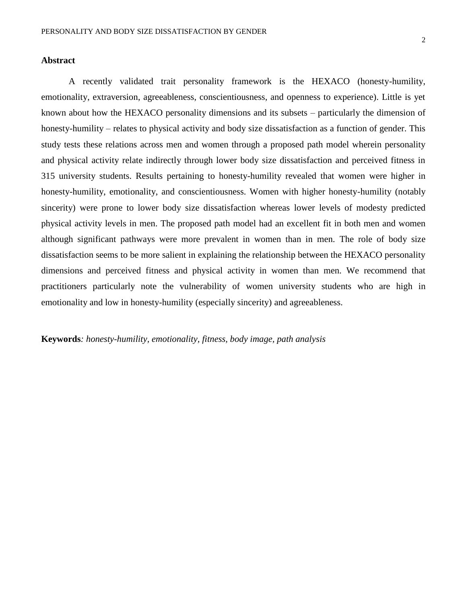#### **Abstract**

A recently validated trait personality framework is the HEXACO (honesty-humility, emotionality, extraversion, agreeableness, conscientiousness, and openness to experience). Little is yet known about how the HEXACO personality dimensions and its subsets – particularly the dimension of honesty-humility – relates to physical activity and body size dissatisfaction as a function of gender. This study tests these relations across men and women through a proposed path model wherein personality and physical activity relate indirectly through lower body size dissatisfaction and perceived fitness in 315 university students. Results pertaining to honesty-humility revealed that women were higher in honesty-humility, emotionality, and conscientiousness. Women with higher honesty-humility (notably sincerity) were prone to lower body size dissatisfaction whereas lower levels of modesty predicted physical activity levels in men. The proposed path model had an excellent fit in both men and women although significant pathways were more prevalent in women than in men. The role of body size dissatisfaction seems to be more salient in explaining the relationship between the HEXACO personality dimensions and perceived fitness and physical activity in women than men. We recommend that practitioners particularly note the vulnerability of women university students who are high in emotionality and low in honesty-humility (especially sincerity) and agreeableness.

**Keywords***: honesty-humility, emotionality, fitness, body image, path analysis*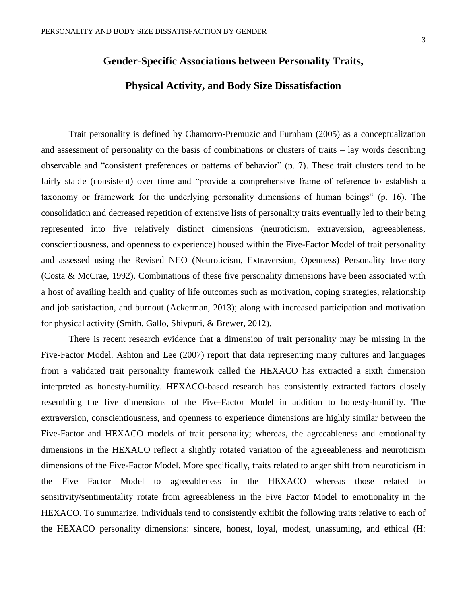### **Gender-Specific Associations between Personality Traits,**

### **Physical Activity, and Body Size Dissatisfaction**

Trait personality is defined by Chamorro-Premuzic and Furnham (2005) as a conceptualization and assessment of personality on the basis of combinations or clusters of traits – lay words describing observable and "consistent preferences or patterns of behavior" (p. 7). These trait clusters tend to be fairly stable (consistent) over time and "provide a comprehensive frame of reference to establish a taxonomy or framework for the underlying personality dimensions of human beings" (p. 16). The consolidation and decreased repetition of extensive lists of personality traits eventually led to their being represented into five relatively distinct dimensions (neuroticism, extraversion, agreeableness, conscientiousness, and openness to experience) housed within the Five-Factor Model of trait personality and assessed using the Revised NEO (Neuroticism, Extraversion, Openness) Personality Inventory (Costa & McCrae, 1992). Combinations of these five personality dimensions have been associated with a host of availing health and quality of life outcomes such as motivation, coping strategies, relationship and job satisfaction, and burnout (Ackerman, 2013); along with increased participation and motivation for physical activity (Smith, Gallo, Shivpuri, & Brewer, 2012).

There is recent research evidence that a dimension of trait personality may be missing in the Five-Factor Model. Ashton and Lee (2007) report that data representing many cultures and languages from a validated trait personality framework called the HEXACO has extracted a sixth dimension interpreted as honesty-humility. HEXACO-based research has consistently extracted factors closely resembling the five dimensions of the Five-Factor Model in addition to honesty-humility. The extraversion, conscientiousness, and openness to experience dimensions are highly similar between the Five-Factor and HEXACO models of trait personality; whereas, the agreeableness and emotionality dimensions in the HEXACO reflect a slightly rotated variation of the agreeableness and neuroticism dimensions of the Five-Factor Model. More specifically, traits related to anger shift from neuroticism in the Five Factor Model to agreeableness in the HEXACO whereas those related to sensitivity/sentimentality rotate from agreeableness in the Five Factor Model to emotionality in the HEXACO. To summarize, individuals tend to consistently exhibit the following traits relative to each of the HEXACO personality dimensions: sincere, honest, loyal, modest, unassuming, and ethical (H: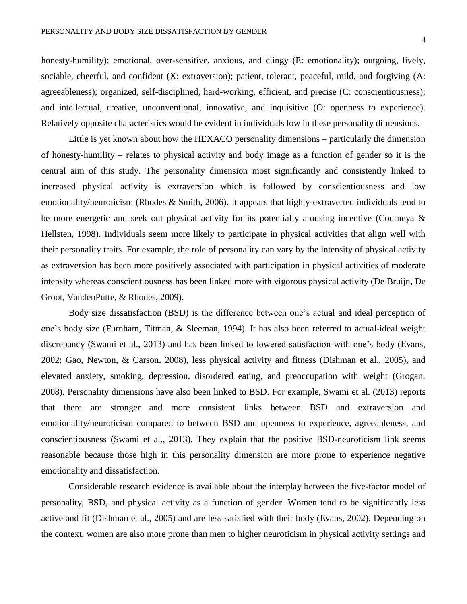honesty-humility); emotional, over-sensitive, anxious, and clingy (E: emotionality); outgoing, lively, sociable, cheerful, and confident (X: extraversion); patient, tolerant, peaceful, mild, and forgiving (A: agreeableness); organized, self-disciplined, hard-working, efficient, and precise (C: conscientiousness); and intellectual, creative, unconventional, innovative, and inquisitive (O: openness to experience). Relatively opposite characteristics would be evident in individuals low in these personality dimensions.

Little is yet known about how the HEXACO personality dimensions – particularly the dimension of honesty-humility – relates to physical activity and body image as a function of gender so it is the central aim of this study. The personality dimension most significantly and consistently linked to increased physical activity is extraversion which is followed by conscientiousness and low emotionality/neuroticism (Rhodes & Smith, 2006). It appears that highly-extraverted individuals tend to be more energetic and seek out physical activity for its potentially arousing incentive (Courneya & Hellsten, 1998). Individuals seem more likely to participate in physical activities that align well with their personality traits. For example, the role of personality can vary by the intensity of physical activity as extraversion has been more positively associated with participation in physical activities of moderate intensity whereas conscientiousness has been linked more with vigorous physical activity (De Bruijn, De Groot, VandenPutte, & Rhodes, 2009).

Body size dissatisfaction (BSD) is the difference between one's actual and ideal perception of one's body size (Furnham, Titman, & Sleeman, 1994). It has also been referred to actual-ideal weight discrepancy (Swami et al., 2013) and has been linked to lowered satisfaction with one's body (Evans, 2002; Gao, Newton, & Carson, 2008), less physical activity and fitness (Dishman et al., 2005), and elevated anxiety, smoking, depression, disordered eating, and preoccupation with weight (Grogan, 2008). Personality dimensions have also been linked to BSD. For example, Swami et al. (2013) reports that there are stronger and more consistent links between BSD and extraversion and emotionality/neuroticism compared to between BSD and openness to experience, agreeableness, and conscientiousness (Swami et al., 2013). They explain that the positive BSD-neuroticism link seems reasonable because those high in this personality dimension are more prone to experience negative emotionality and dissatisfaction.

Considerable research evidence is available about the interplay between the five-factor model of personality, BSD, and physical activity as a function of gender. Women tend to be significantly less active and fit (Dishman et al., 2005) and are less satisfied with their body (Evans, 2002). Depending on the context, women are also more prone than men to higher neuroticism in physical activity settings and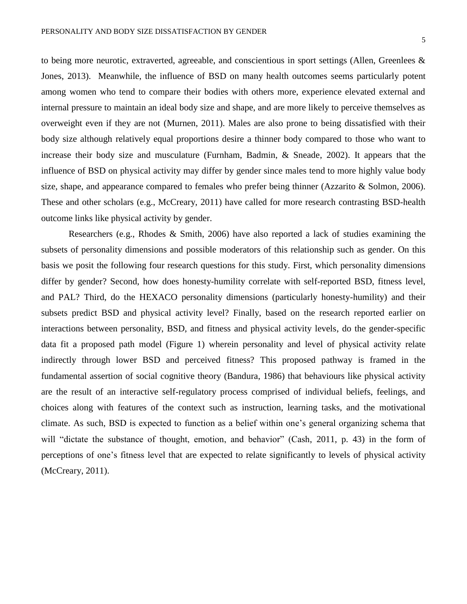to being more neurotic, extraverted, agreeable, and conscientious in sport settings (Allen, Greenlees & Jones, 2013). Meanwhile, the influence of BSD on many health outcomes seems particularly potent among women who tend to compare their bodies with others more, experience elevated external and internal pressure to maintain an ideal body size and shape, and are more likely to perceive themselves as overweight even if they are not (Murnen, 2011). Males are also prone to being dissatisfied with their body size although relatively equal proportions desire a thinner body compared to those who want to increase their body size and musculature (Furnham, Badmin, & Sneade, 2002). It appears that the influence of BSD on physical activity may differ by gender since males tend to more highly value body size, shape, and appearance compared to females who prefer being thinner (Azzarito  $&$  Solmon, 2006). These and other scholars (e.g., McCreary, 2011) have called for more research contrasting BSD-health outcome links like physical activity by gender.

Researchers (e.g., Rhodes & Smith, 2006) have also reported a lack of studies examining the subsets of personality dimensions and possible moderators of this relationship such as gender. On this basis we posit the following four research questions for this study. First, which personality dimensions differ by gender? Second, how does honesty-humility correlate with self-reported BSD, fitness level, and PAL? Third, do the HEXACO personality dimensions (particularly honesty-humility) and their subsets predict BSD and physical activity level? Finally, based on the research reported earlier on interactions between personality, BSD, and fitness and physical activity levels, do the gender-specific data fit a proposed path model (Figure 1) wherein personality and level of physical activity relate indirectly through lower BSD and perceived fitness? This proposed pathway is framed in the fundamental assertion of social cognitive theory (Bandura, 1986) that behaviours like physical activity are the result of an interactive self-regulatory process comprised of individual beliefs, feelings, and choices along with features of the context such as instruction, learning tasks, and the motivational climate. As such, BSD is expected to function as a belief within one's general organizing schema that will "dictate the substance of thought, emotion, and behavior" (Cash, 2011, p. 43) in the form of perceptions of one's fitness level that are expected to relate significantly to levels of physical activity (McCreary, 2011).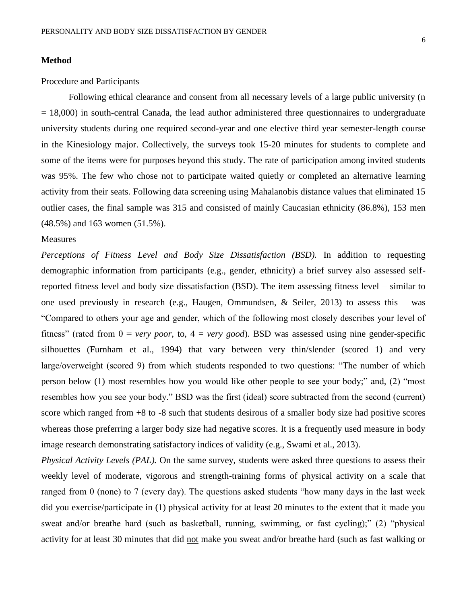#### **Method**

#### Procedure and Participants

Following ethical clearance and consent from all necessary levels of a large public university (n  $= 18,000$ ) in south-central Canada, the lead author administered three questionnaires to undergraduate university students during one required second-year and one elective third year semester-length course in the Kinesiology major. Collectively, the surveys took 15-20 minutes for students to complete and some of the items were for purposes beyond this study. The rate of participation among invited students was 95%. The few who chose not to participate waited quietly or completed an alternative learning activity from their seats. Following data screening using Mahalanobis distance values that eliminated 15 outlier cases, the final sample was 315 and consisted of mainly Caucasian ethnicity (86.8%), 153 men (48.5%) and 163 women (51.5%).

#### **Measures**

*Perceptions of Fitness Level and Body Size Dissatisfaction (BSD).* In addition to requesting demographic information from participants (e.g., gender, ethnicity) a brief survey also assessed selfreported fitness level and body size dissatisfaction (BSD). The item assessing fitness level – similar to one used previously in research (e.g., Haugen, Ommundsen, & Seiler, 2013) to assess this – was "Compared to others your age and gender, which of the following most closely describes your level of fitness" (rated from 0 = *very poor*, to, 4 = *very good*). BSD was assessed using nine gender-specific silhouettes (Furnham et al., 1994) that vary between very thin/slender (scored 1) and very large/overweight (scored 9) from which students responded to two questions: "The number of which person below (1) most resembles how you would like other people to see your body;" and, (2) "most resembles how you see your body." BSD was the first (ideal) score subtracted from the second (current) score which ranged from +8 to -8 such that students desirous of a smaller body size had positive scores whereas those preferring a larger body size had negative scores. It is a frequently used measure in body image research demonstrating satisfactory indices of validity (e.g., Swami et al., 2013).

*Physical Activity Levels (PAL).* On the same survey, students were asked three questions to assess their weekly level of moderate, vigorous and strength-training forms of physical activity on a scale that ranged from 0 (none) to 7 (every day). The questions asked students "how many days in the last week did you exercise/participate in (1) physical activity for at least 20 minutes to the extent that it made you sweat and/or breathe hard (such as basketball, running, swimming, or fast cycling);" (2) "physical activity for at least 30 minutes that did not make you sweat and/or breathe hard (such as fast walking or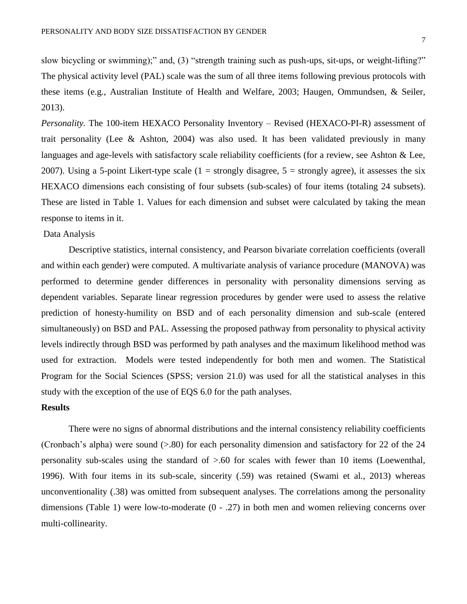slow bicycling or swimming);" and, (3) "strength training such as push-ups, sit-ups, or weight-lifting?" The physical activity level (PAL) scale was the sum of all three items following previous protocols with these items (e.g., Australian Institute of Health and Welfare, 2003; Haugen, Ommundsen, & Seiler, 2013).

*Personality.* The 100-item HEXACO Personality Inventory – Revised (HEXACO-PI-R) assessment of trait personality (Lee  $\&$  Ashton, 2004) was also used. It has been validated previously in many languages and age-levels with satisfactory scale reliability coefficients (for a review, see Ashton & Lee, 2007). Using a 5-point Likert-type scale (1 = strongly disagree,  $5$  = strongly agree), it assesses the six HEXACO dimensions each consisting of four subsets (sub-scales) of four items (totaling 24 subsets). These are listed in Table 1. Values for each dimension and subset were calculated by taking the mean response to items in it.

#### Data Analysis

Descriptive statistics, internal consistency, and Pearson bivariate correlation coefficients (overall and within each gender) were computed. A multivariate analysis of variance procedure (MANOVA) was performed to determine gender differences in personality with personality dimensions serving as dependent variables. Separate linear regression procedures by gender were used to assess the relative prediction of honesty-humility on BSD and of each personality dimension and sub-scale (entered simultaneously) on BSD and PAL. Assessing the proposed pathway from personality to physical activity levels indirectly through BSD was performed by path analyses and the maximum likelihood method was used for extraction. Models were tested independently for both men and women. The Statistical Program for the Social Sciences (SPSS; version 21.0) was used for all the statistical analyses in this study with the exception of the use of EQS 6.0 for the path analyses.

#### **Results**

There were no signs of abnormal distributions and the internal consistency reliability coefficients (Cronbach's alpha) were sound (>.80) for each personality dimension and satisfactory for 22 of the 24 personality sub-scales using the standard of >.60 for scales with fewer than 10 items (Loewenthal, 1996). With four items in its sub-scale, sincerity (.59) was retained (Swami et al., 2013) whereas unconventionality (.38) was omitted from subsequent analyses. The correlations among the personality dimensions (Table 1) were low-to-moderate (0 - .27) in both men and women relieving concerns over multi-collinearity.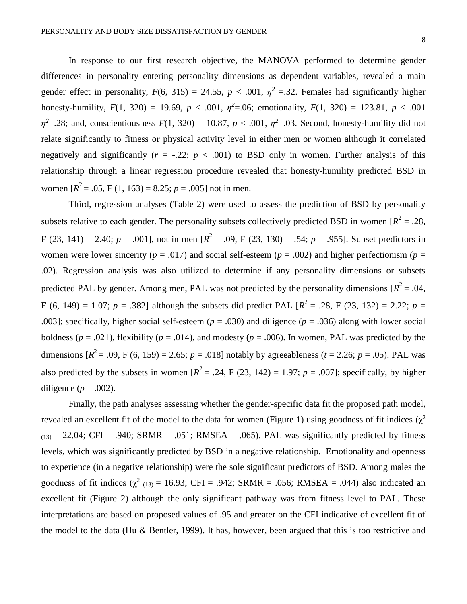In response to our first research objective, the MANOVA performed to determine gender differences in personality entering personality dimensions as dependent variables, revealed a main gender effect in personality,  $F(6, 315) = 24.55$ ,  $p < .001$ ,  $\eta^2 = .32$ . Females had significantly higher honesty-humility,  $F(1, 320) = 19.69$ ,  $p < .001$ ,  $\eta^2 = .06$ ; emotionality,  $F(1, 320) = 123.81$ ,  $p < .001$  $\eta^2$ =.28; and, conscientiousness  $F(1, 320) = 10.87$ ,  $p < .001$ ,  $\eta^2$ =.03. Second, honesty-humility did not relate significantly to fitness or physical activity level in either men or women although it correlated negatively and significantly  $(r = -.22; p < .001)$  to BSD only in women. Further analysis of this relationship through a linear regression procedure revealed that honesty-humility predicted BSD in women  $[R^2 = .05, F(1, 163) = 8.25; p = .005]$  not in men.

Third, regression analyses (Table 2) were used to assess the prediction of BSD by personality subsets relative to each gender. The personality subsets collectively predicted BSD in women  $[R^2 = .28, ]$ F (23, 141) = 2.40;  $p = .001$ ], not in men  $[R^2 = .09, F(23, 130) = .54; p = .955]$ . Subset predictors in women were lower sincerity ( $p = .017$ ) and social self-esteem ( $p = .002$ ) and higher perfectionism ( $p =$ .02). Regression analysis was also utilized to determine if any personality dimensions or subsets predicted PAL by gender. Among men, PAL was not predicted by the personality dimensions  $[R^2 = .04, ]$ F (6, 149) = 1.07;  $p = .382$ ] although the subsets did predict PAL  $[R^2 = .28, F (23, 132) = 2.22; p =$ .003]; specifically, higher social self-esteem ( $p = .030$ ) and diligence ( $p = .036$ ) along with lower social boldness ( $p = .021$ ), flexibility ( $p = .014$ ), and modesty ( $p = .006$ ). In women, PAL was predicted by the dimensions  $[R^2 = .09, F (6, 159) = 2.65; p = .018]$  notably by agreeableness (*t* = 2.26; *p* = .05). PAL was also predicted by the subsets in women  $[R^2 = .24, F(23, 142) = 1.97; p = .007]$ ; specifically, by higher diligence  $(p = .002)$ .

Finally, the path analyses assessing whether the gender-specific data fit the proposed path model, revealed an excellent fit of the model to the data for women (Figure 1) using goodness of fit indices ( $\gamma^2$  $(13) = 22.04$ ; CFI = .940; SRMR = .051; RMSEA = .065). PAL was significantly predicted by fitness levels, which was significantly predicted by BSD in a negative relationship. Emotionality and openness to experience (in a negative relationship) were the sole significant predictors of BSD. Among males the goodness of fit indices  $(\chi^2)_{(13)} = 16.93$ ; CFI = .942; SRMR = .056; RMSEA = .044) also indicated an excellent fit (Figure 2) although the only significant pathway was from fitness level to PAL. These interpretations are based on proposed values of .95 and greater on the CFI indicative of excellent fit of the model to the data (Hu & Bentler, 1999). It has, however, been argued that this is too restrictive and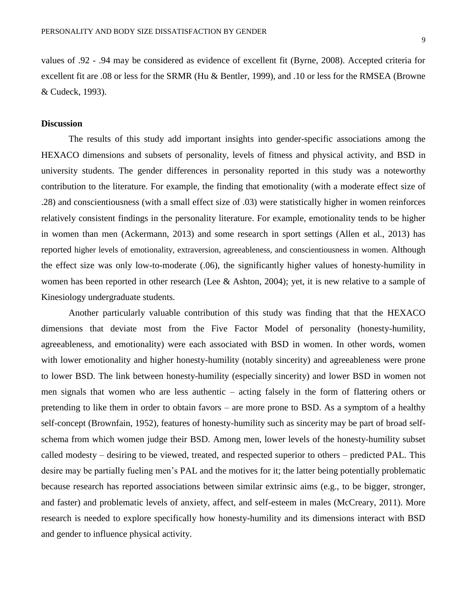values of .92 - .94 may be considered as evidence of excellent fit (Byrne, 2008). Accepted criteria for excellent fit are .08 or less for the SRMR (Hu & Bentler, 1999), and .10 or less for the RMSEA (Browne & Cudeck, 1993).

#### **Discussion**

The results of this study add important insights into gender-specific associations among the HEXACO dimensions and subsets of personality, levels of fitness and physical activity, and BSD in university students. The gender differences in personality reported in this study was a noteworthy contribution to the literature. For example, the finding that emotionality (with a moderate effect size of .28) and conscientiousness (with a small effect size of .03) were statistically higher in women reinforces relatively consistent findings in the personality literature. For example, emotionality tends to be higher in women than men (Ackermann, 2013) and some research in sport settings (Allen et al., 2013) has reported higher levels of emotionality, extraversion, agreeableness, and conscientiousness in women. Although the effect size was only low-to-moderate (.06), the significantly higher values of honesty-humility in women has been reported in other research (Lee & Ashton, 2004); yet, it is new relative to a sample of Kinesiology undergraduate students.

Another particularly valuable contribution of this study was finding that that the HEXACO dimensions that deviate most from the Five Factor Model of personality (honesty-humility, agreeableness, and emotionality) were each associated with BSD in women. In other words, women with lower emotionality and higher honesty-humility (notably sincerity) and agreeableness were prone to lower BSD. The link between honesty-humility (especially sincerity) and lower BSD in women not men signals that women who are less authentic – acting falsely in the form of flattering others or pretending to like them in order to obtain favors – are more prone to BSD. As a symptom of a healthy self-concept (Brownfain, 1952), features of honesty-humility such as sincerity may be part of broad selfschema from which women judge their BSD. Among men, lower levels of the honesty-humility subset called modesty – desiring to be viewed, treated, and respected superior to others – predicted PAL. This desire may be partially fueling men's PAL and the motives for it; the latter being potentially problematic because research has reported associations between similar extrinsic aims (e.g., to be bigger, stronger, and faster) and problematic levels of anxiety, affect, and self-esteem in males (McCreary, 2011). More research is needed to explore specifically how honesty-humility and its dimensions interact with BSD and gender to influence physical activity.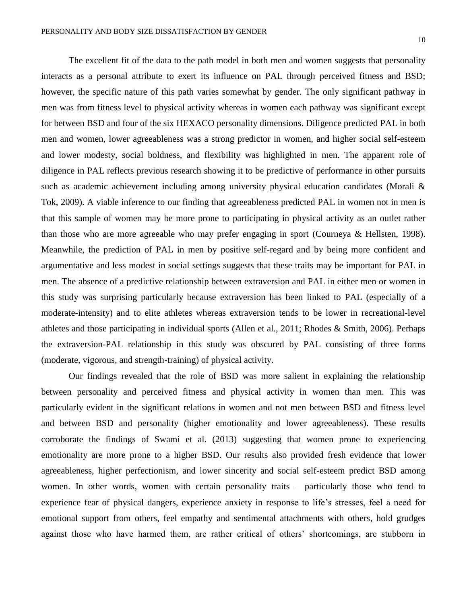The excellent fit of the data to the path model in both men and women suggests that personality interacts as a personal attribute to exert its influence on PAL through perceived fitness and BSD; however, the specific nature of this path varies somewhat by gender. The only significant pathway in men was from fitness level to physical activity whereas in women each pathway was significant except for between BSD and four of the six HEXACO personality dimensions. Diligence predicted PAL in both men and women, lower agreeableness was a strong predictor in women, and higher social self-esteem and lower modesty, social boldness, and flexibility was highlighted in men. The apparent role of diligence in PAL reflects previous research showing it to be predictive of performance in other pursuits such as academic achievement including among university physical education candidates (Morali & Tok, 2009). A viable inference to our finding that agreeableness predicted PAL in women not in men is that this sample of women may be more prone to participating in physical activity as an outlet rather than those who are more agreeable who may prefer engaging in sport (Courneya & Hellsten, 1998). Meanwhile, the prediction of PAL in men by positive self-regard and by being more confident and argumentative and less modest in social settings suggests that these traits may be important for PAL in

men. The absence of a predictive relationship between extraversion and PAL in either men or women in this study was surprising particularly because extraversion has been linked to PAL (especially of a moderate-intensity) and to elite athletes whereas extraversion tends to be lower in recreational-level athletes and those participating in individual sports (Allen et al., 2011; Rhodes & Smith, 2006). Perhaps the extraversion-PAL relationship in this study was obscured by PAL consisting of three forms (moderate, vigorous, and strength-training) of physical activity.

Our findings revealed that the role of BSD was more salient in explaining the relationship between personality and perceived fitness and physical activity in women than men. This was particularly evident in the significant relations in women and not men between BSD and fitness level and between BSD and personality (higher emotionality and lower agreeableness). These results corroborate the findings of Swami et al. (2013) suggesting that women prone to experiencing emotionality are more prone to a higher BSD. Our results also provided fresh evidence that lower agreeableness, higher perfectionism, and lower sincerity and social self-esteem predict BSD among women. In other words, women with certain personality traits – particularly those who tend to experience fear of physical dangers, experience anxiety in response to life's stresses, feel a need for emotional support from others, feel empathy and sentimental attachments with others, hold grudges against those who have harmed them, are rather critical of others' shortcomings, are stubborn in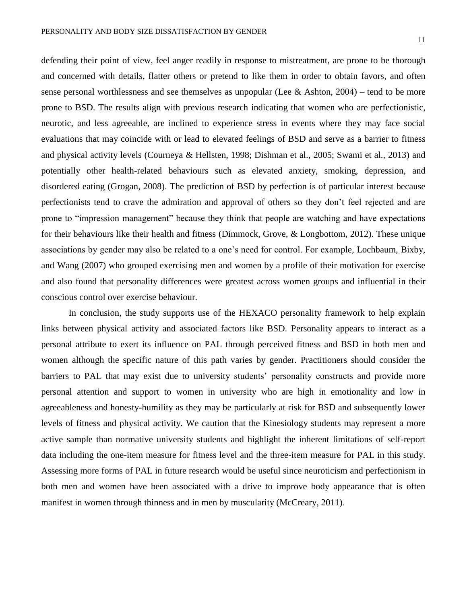defending their point of view, feel anger readily in response to mistreatment, are prone to be thorough and concerned with details, flatter others or pretend to like them in order to obtain favors, and often sense personal worthlessness and see themselves as unpopular (Lee & Ashton,  $2004$ ) – tend to be more prone to BSD. The results align with previous research indicating that women who are perfectionistic, neurotic, and less agreeable, are inclined to experience stress in events where they may face social evaluations that may coincide with or lead to elevated feelings of BSD and serve as a barrier to fitness and physical activity levels (Courneya & Hellsten, 1998; Dishman et al., 2005; Swami et al., 2013) and potentially other health-related behaviours such as elevated anxiety, smoking, depression, and disordered eating (Grogan, 2008). The prediction of BSD by perfection is of particular interest because perfectionists tend to crave the admiration and approval of others so they don't feel rejected and are prone to "impression management" because they think that people are watching and have expectations for their behaviours like their health and fitness (Dimmock, Grove, & Longbottom, 2012). These unique associations by gender may also be related to a one's need for control. For example, Lochbaum, Bixby, and Wang (2007) who grouped exercising men and women by a profile of their motivation for exercise and also found that personality differences were greatest across women groups and influential in their conscious control over exercise behaviour.

In conclusion, the study supports use of the HEXACO personality framework to help explain links between physical activity and associated factors like BSD. Personality appears to interact as a personal attribute to exert its influence on PAL through perceived fitness and BSD in both men and women although the specific nature of this path varies by gender. Practitioners should consider the barriers to PAL that may exist due to university students' personality constructs and provide more personal attention and support to women in university who are high in emotionality and low in agreeableness and honesty-humility as they may be particularly at risk for BSD and subsequently lower levels of fitness and physical activity. We caution that the Kinesiology students may represent a more active sample than normative university students and highlight the inherent limitations of self-report data including the one-item measure for fitness level and the three-item measure for PAL in this study. Assessing more forms of PAL in future research would be useful since neuroticism and perfectionism in both men and women have been associated with a drive to improve body appearance that is often manifest in women through thinness and in men by muscularity (McCreary, 2011).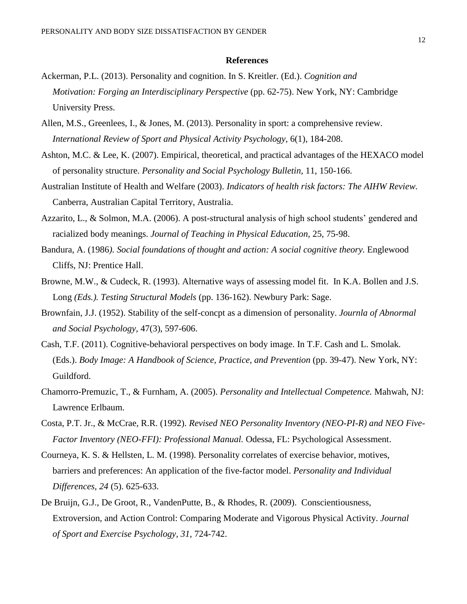#### **References**

- Ackerman, P.L. (2013). Personality and cognition. In S. Kreitler. (Ed.). *Cognition and Motivation: Forging an Interdisciplinary Perspective* (pp. 62-75). New York, NY: Cambridge University Press.
- Allen, M.S., Greenlees, I., & Jones, M. (2013). Personality in sport: a comprehensive review. *International Review of Sport and Physical Activity Psychology*, 6(1), 184-208.
- Ashton, M.C. & Lee, K. (2007). Empirical, theoretical, and practical advantages of the HEXACO model of personality structure. *Personality and Social Psychology Bulletin,* 11, 150-166.
- Australian Institute of Health and Welfare (2003). *Indicators of health risk factors: The AIHW Review.* Canberra, Australian Capital Territory, Australia.
- Azzarito, L., & Solmon, M.A. (2006). A post-structural analysis of high school students' gendered and racialized body meanings. *Journal of Teaching in Physical Education,* 25, 75-98.
- Bandura, A. (1986*). Social foundations of thought and action: A social cognitive theory.* Englewood Cliffs, NJ: Prentice Hall.
- Browne, M.W., & Cudeck, R. (1993). Alternative ways of assessing model fit. In K.A. Bollen and J.S. Long *(Eds.). Testing Structural Models* (pp. 136-162). Newbury Park: Sage.
- Brownfain, J.J. (1952). Stability of the self-concpt as a dimension of personality. *Journla of Abnormal and Social Psychology,* 47(3), 597-606.
- Cash, T.F. (2011). Cognitive-behavioral perspectives on body image. In T.F. Cash and L. Smolak*.* (Eds.). *Body Image: A Handbook of Science, Practice, and Prevention* (pp. 39-47). New York, NY: Guildford.
- Chamorro-Premuzic, T., & Furnham, A. (2005). *Personality and Intellectual Competence.* Mahwah, NJ: Lawrence Erlbaum.
- Costa, P.T. Jr., & McCrae, R.R. (1992). *Revised NEO Personality Inventory (NEO-PI-R) and NEO Five- Factor Inventory (NEO-FFI): Professional Manual.* Odessa, FL: Psychological Assessment.
- Courneya, K. S. & Hellsten, L. M. (1998). Personality correlates of exercise behavior, motives, barriers and preferences: An application of the five-factor model. *Personality and Individual Differences, 24* (5). 625-633.
- De Bruijn, G.J., De Groot, R., VandenPutte, B., & Rhodes, R. (2009). Conscientiousness, Extroversion, and Action Control: Comparing Moderate and Vigorous Physical Activity. *Journal of Sport and Exercise Psychology, 31*, 724-742.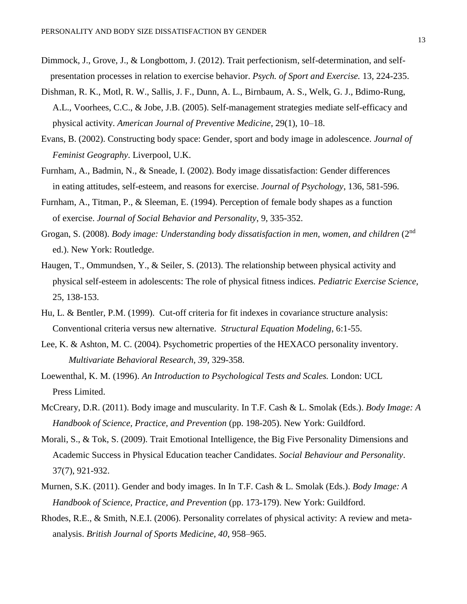- Dimmock, J., Grove, J., & Longbottom, J. (2012). Trait perfectionism, self-determination, and self presentation processes in relation to exercise behavior. *Psych. of Sport and Exercise.* 13, 224-235.
- Dishman, R. K., Motl, R. W., Sallis, J. F., Dunn, A. L., Birnbaum, A. S., Welk, G. J., Bdimo-Rung, A.L., Voorhees, C.C., & Jobe, J.B. (2005). Self-management strategies mediate self-efficacy and physical activity. *American Journal of Preventive Medicine*, 29(1), 10–18.
- Evans, B. (2002). Constructing body space: Gender, sport and body image in adolescence. *Journal of Feminist Geography*. Liverpool, U.K.
- Furnham, A., Badmin, N., & Sneade, I. (2002). Body image dissatisfaction: Gender differences in eating attitudes, self-esteem, and reasons for exercise. *Journal of Psychology*, 136, 581-596.
- Furnham, A., Titman, P., & Sleeman, E. (1994). Perception of female body shapes as a function of exercise. *Journal of Social Behavior and Personality*, 9, 335-352.
- Grogan, S. (2008). *Body image: Understanding body dissatisfaction in men, women, and children* (2<sup>nd</sup> ed.). New York: Routledge.
- Haugen, T., Ommundsen, Y., & Seiler, S. (2013). The relationship between physical activity and physical self-esteem in adolescents: The role of physical fitness indices. *Pediatric Exercise Science,* 25, 138-153.
- Hu, L. & Bentler, P.M. (1999). Cut-off criteria for fit indexes in covariance structure analysis: Conventional criteria versus new alternative. *Structural Equation Modeling*, 6:1-55.
- Lee, K. & Ashton, M. C. (2004). Psychometric properties of the HEXACO personality inventory. *Multivariate Behavioral Research, 39,* 329-358.
- Loewenthal, K. M. (1996). *An Introduction to Psychological Tests and Scales.* London: UCL Press Limited.
- McCreary, D.R. (2011). Body image and muscularity. In T.F. Cash & L. Smolak (Eds.). *Body Image: A Handbook of Science, Practice, and Prevention* (pp. 198-205). New York: Guildford.
- Morali, S., & Tok, S. (2009). Trait Emotional Intelligence, the Big Five Personality Dimensions and Academic Success in Physical Education teacher Candidates. *Social Behaviour and Personality*. 37(7), 921-932.
- Murnen, S.K. (2011). Gender and body images. In In T.F. Cash & L. Smolak (Eds.). *Body Image: A Handbook of Science, Practice, and Prevention* (pp. 173-179). New York: Guildford.
- Rhodes, R.E., & Smith, N.E.I. (2006). Personality correlates of physical activity: A review and meta analysis. *British Journal of Sports Medicine, 40*, 958–965.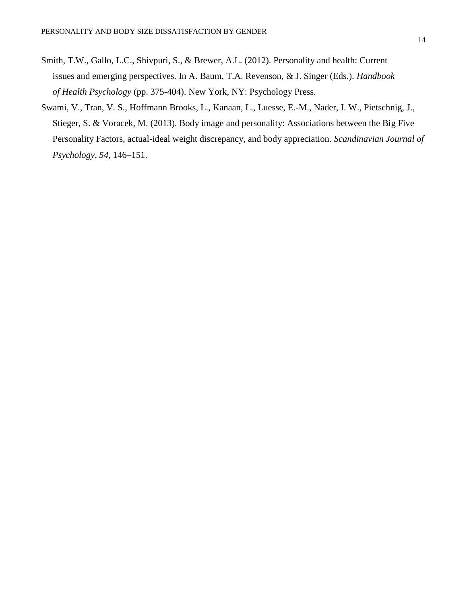- Smith, T.W., Gallo, L.C., Shivpuri, S., & Brewer, A.L. (2012). Personality and health: Current issues and emerging perspectives. In A. Baum, T.A. Revenson, & J. Singer (Eds.). *Handbook of Health Psychology* (pp. 375-404). New York, NY: Psychology Press.
- Swami, V., Tran, V. S., Hoffmann Brooks, L., Kanaan, L., Luesse, E.-M., Nader, I. W., Pietschnig, J., Stieger, S. & Voracek, M. (2013). Body image and personality: Associations between the Big Five Personality Factors, actual-ideal weight discrepancy, and body appreciation. *Scandinavian Journal of Psychology, 54*, 146–151.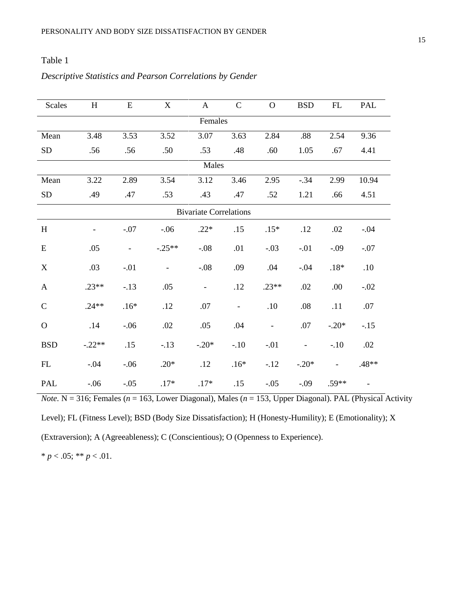### Table 1

### *Descriptive Statistics and Pearson Correlations by Gender*

| <b>Scales</b>                 | H        | ${\bf E}$                | $\mathbf X$              | $\mathbf{A}$   | $\mathbf C$              | $\mathbf O$    | <b>BSD</b>               | ${\rm FL}$               | PAL    |  |  |
|-------------------------------|----------|--------------------------|--------------------------|----------------|--------------------------|----------------|--------------------------|--------------------------|--------|--|--|
| Females                       |          |                          |                          |                |                          |                |                          |                          |        |  |  |
| Mean                          | 3.48     | 3.53                     | 3.52                     | 3.07           | 3.63                     | 2.84           | .88                      | 2.54                     | 9.36   |  |  |
| ${\rm SD}$                    | .56      | .56                      | .50                      | .53            | .48                      | .60            | 1.05                     | .67                      | 4.41   |  |  |
| Males                         |          |                          |                          |                |                          |                |                          |                          |        |  |  |
| Mean                          | 3.22     | 2.89                     | 3.54                     | 3.12           | 3.46                     | 2.95           | $-.34$                   | 2.99                     | 10.94  |  |  |
| ${\rm SD}$                    | .49      | .47                      | .53                      | .43            | .47                      | .52            | 1.21                     | .66                      | 4.51   |  |  |
| <b>Bivariate Correlations</b> |          |                          |                          |                |                          |                |                          |                          |        |  |  |
| $\, {\rm H}$                  |          | $-.07$                   | $-.06$                   | $.22*$         | .15                      | $.15*$         | .12                      | $.02\,$                  | $-.04$ |  |  |
| ${\bf E}$                     | .05      | $\overline{\phantom{a}}$ | $-.25**$                 | $-.08$         | .01                      | $-.03$         | $-.01$                   | $-.09$                   | $-.07$ |  |  |
| $\mathbf X$                   | .03      | $-.01$                   | $\overline{\phantom{a}}$ | $-.08$         | .09                      | .04            | $-.04$                   | $.18*$                   | .10    |  |  |
| $\mathbf{A}$                  | $.23**$  | $-.13$                   | .05                      | $\blacksquare$ | .12                      | $.23**$        | .02                      | .00                      | $-.02$ |  |  |
| $\mathbf C$                   | $.24**$  | $.16*$                   | .12                      | .07            | $\overline{\phantom{a}}$ | .10            | .08                      | .11                      | .07    |  |  |
| $\mathbf O$                   | .14      | $-.06$                   | $.02\,$                  | .05            | .04                      | $\blacksquare$ | .07                      | $-.20*$                  | $-.15$ |  |  |
| <b>BSD</b>                    | $-.22**$ | .15                      | $-13$                    | $-.20*$        | $-.10$                   | $-.01$         | $\overline{\phantom{a}}$ | $-.10$                   | .02    |  |  |
| ${\rm FL}$                    | $-.04$   | $-.06$                   | $.20*$                   | .12            | $.16*$                   | $-12$          | $-.20*$                  | $\overline{\phantom{a}}$ | .48**  |  |  |
| PAL                           | $-.06$   | $-.05$                   | $.17*$                   | $.17*$         | .15                      | $-.05$         | $-.09$                   | $.59**$                  |        |  |  |

*Note.* N = 316; Females ( $n = 163$ , Lower Diagonal), Males ( $n = 153$ , Upper Diagonal). PAL (Physical Activity Level); FL (Fitness Level); BSD (Body Size Dissatisfaction); H (Honesty-Humility); E (Emotionality); X (Extraversion); A (Agreeableness); C (Conscientious); O (Openness to Experience).

\*  $p < .05$ ; \*\*  $p < .01$ .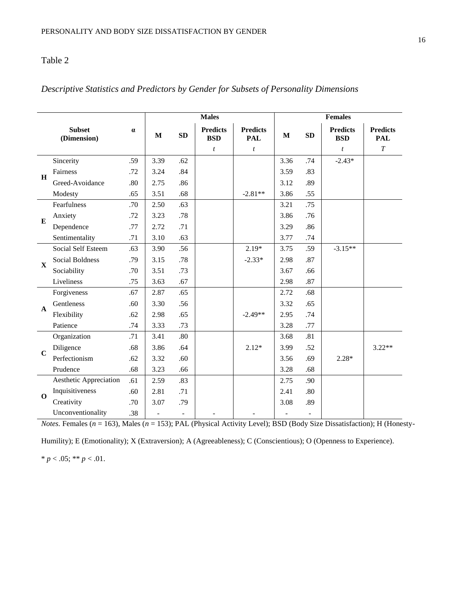## Table 2

| <b>Subset</b><br>$\alpha$<br>(Dimension) |                           |     | <b>Males</b>             |                          |                               |                               |              | <b>Females</b>           |                               |                               |  |  |
|------------------------------------------|---------------------------|-----|--------------------------|--------------------------|-------------------------------|-------------------------------|--------------|--------------------------|-------------------------------|-------------------------------|--|--|
|                                          |                           |     | $\mathbf{M}$             | <b>SD</b>                | <b>Predicts</b><br><b>BSD</b> | <b>Predicts</b><br><b>PAL</b> | $\mathbf{M}$ | SD                       | <b>Predicts</b><br><b>BSD</b> | <b>Predicts</b><br><b>PAL</b> |  |  |
|                                          |                           |     |                          |                          | $\boldsymbol{t}$              | $\boldsymbol{t}$              |              |                          | $\boldsymbol{t}$              | $\cal T$                      |  |  |
| H                                        | Sincerity                 | .59 | 3.39                     | .62                      |                               |                               | 3.36         | .74                      | $-2.43*$                      |                               |  |  |
|                                          | Fairness                  | .72 | 3.24                     | .84                      |                               |                               | 3.59         | .83                      |                               |                               |  |  |
|                                          | Greed-Avoidance           | .80 | 2.75                     | .86                      |                               |                               | 3.12         | .89                      |                               |                               |  |  |
|                                          | Modesty                   | .65 | 3.51                     | .68                      |                               | $-2.81**$                     | 3.86         | .55                      |                               |                               |  |  |
| E                                        | Fearfulness               | .70 | 2.50                     | .63                      |                               |                               | 3.21         | .75                      |                               |                               |  |  |
|                                          | Anxiety                   | .72 | 3.23                     | .78                      |                               |                               | 3.86         | .76                      |                               |                               |  |  |
|                                          | Dependence                | .77 | 2.72                     | .71                      |                               |                               | 3.29         | .86                      |                               |                               |  |  |
|                                          | Sentimentality            | .71 | 3.10                     | .63                      |                               |                               | 3.77         | .74                      |                               |                               |  |  |
| $\mathbf{x}$                             | <b>Social Self Esteem</b> | .63 | 3.90                     | .56                      |                               | $2.19*$                       | 3.75         | .59                      | $-3.15**$                     |                               |  |  |
|                                          | <b>Social Boldness</b>    | .79 | 3.15                     | .78                      |                               | $-2.33*$                      | 2.98         | .87                      |                               |                               |  |  |
|                                          | Sociability               | .70 | 3.51                     | .73                      |                               |                               | 3.67         | .66                      |                               |                               |  |  |
|                                          | Liveliness                | .75 | 3.63                     | .67                      |                               |                               | 2.98         | .87                      |                               |                               |  |  |
| $\mathbf{A}$                             | Forgiveness               | .67 | 2.87                     | .65                      |                               |                               | 2.72         | .68                      |                               |                               |  |  |
|                                          | Gentleness                | .60 | 3.30                     | .56                      |                               |                               | 3.32         | .65                      |                               |                               |  |  |
|                                          | Flexibility               | .62 | 2.98                     | .65                      |                               | $-2.49**$                     | 2.95         | .74                      |                               |                               |  |  |
|                                          | Patience                  | .74 | 3.33                     | .73                      |                               |                               | 3.28         | .77                      |                               |                               |  |  |
| $\mathbf C$                              | Organization              | .71 | 3.41                     | .80                      |                               |                               | 3.68         | .81                      |                               |                               |  |  |
|                                          | Diligence                 | .68 | 3.86                     | .64                      |                               | $2.12*$                       | 3.99         | .52                      |                               | $3.22**$                      |  |  |
|                                          | Perfectionism             | .62 | 3.32                     | .60                      |                               |                               | 3.56         | .69                      | $2.28*$                       |                               |  |  |
|                                          | Prudence                  | .68 | 3.23                     | .66                      |                               |                               | 3.28         | .68                      |                               |                               |  |  |
| $\Omega$                                 | Aesthetic Appreciation    | .61 | 2.59                     | .83                      |                               |                               | 2.75         | .90                      |                               |                               |  |  |
|                                          | Inquisitiveness           | .60 | 2.81                     | .71                      |                               |                               | 2.41         | .80                      |                               |                               |  |  |
|                                          | Creativity                | .70 | 3.07                     | .79                      |                               |                               | 3.08         | .89                      |                               |                               |  |  |
|                                          | Unconventionality         | .38 | $\overline{\phantom{a}}$ | $\overline{\phantom{a}}$ |                               |                               |              | $\overline{\phantom{a}}$ |                               |                               |  |  |

*Descriptive Statistics and Predictors by Gender for Subsets of Personality Dimensions*

*Notes.* Females (*n* = 163), Males (*n* = 153); PAL (Physical Activity Level); BSD (Body Size Dissatisfaction); H (Honesty-

Humility); E (Emotionality); X (Extraversion); A (Agreeableness); C (Conscientious); O (Openness to Experience).

 $* p < .05; ** p < .01.$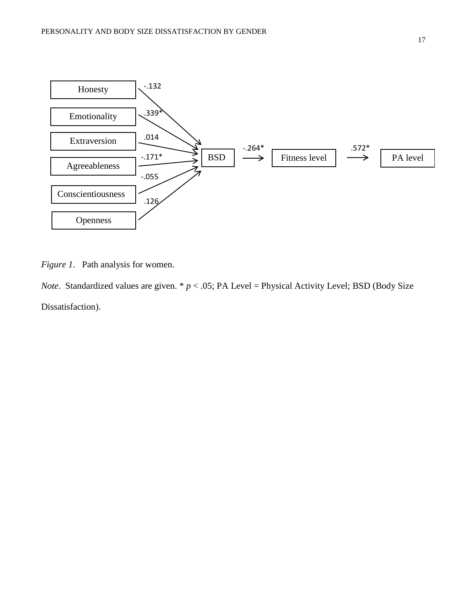

*Figure 1*. Path analysis for women.

*Note*. Standardized values are given.  $* p < .05$ ; PA Level = Physical Activity Level; BSD (Body Size Dissatisfaction).